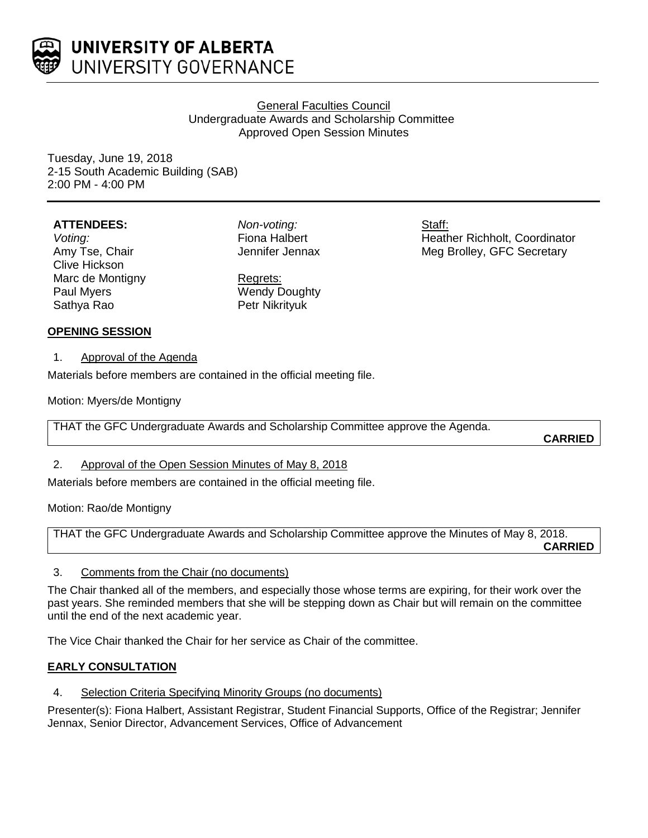

# General Faculties Council Undergraduate Awards and Scholarship Committee Approved Open Session Minutes

Tuesday, June 19, 2018 2-15 South Academic Building (SAB) 2:00 PM - 4:00 PM

## **ATTENDEES:**

*Voting:* Amy Tse, Chair Clive Hickson Marc de Montigny Paul Myers Sathya Rao

*Non-voting:* Fiona Halbert Jennifer Jennax

Regrets:

Wendy Doughty Petr Nikrityuk

Staff: Heather Richholt, Coordinator Meg Brolley, GFC Secretary

# **OPENING SESSION**

1. Approval of the Agenda

Materials before members are contained in the official meeting file.

Motion: Myers/de Montigny

THAT the GFC Undergraduate Awards and Scholarship Committee approve the Agenda.

**CARRIED**

# 2. Approval of the Open Session Minutes of May 8, 2018

Materials before members are contained in the official meeting file.

Motion: Rao/de Montigny

THAT the GFC Undergraduate Awards and Scholarship Committee approve the Minutes of May 8, 2018. **CARRIED**

# 3. Comments from the Chair (no documents)

The Chair thanked all of the members, and especially those whose terms are expiring, for their work over the past years. She reminded members that she will be stepping down as Chair but will remain on the committee until the end of the next academic year.

The Vice Chair thanked the Chair for her service as Chair of the committee.

# **EARLY CONSULTATION**

4. Selection Criteria Specifying Minority Groups (no documents)

Presenter(s): Fiona Halbert, Assistant Registrar, Student Financial Supports, Office of the Registrar; Jennifer Jennax, Senior Director, Advancement Services, Office of Advancement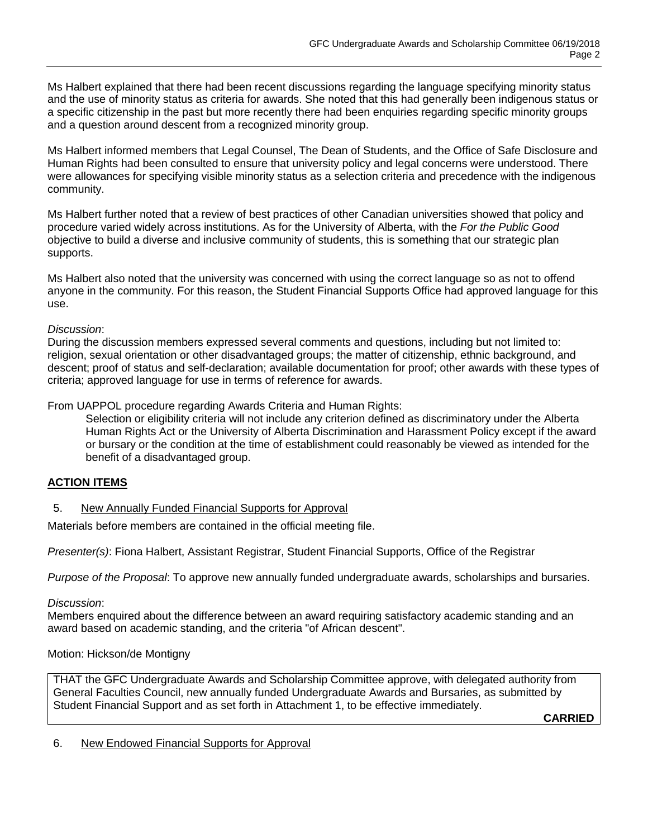Ms Halbert explained that there had been recent discussions regarding the language specifying minority status and the use of minority status as criteria for awards. She noted that this had generally been indigenous status or a specific citizenship in the past but more recently there had been enquiries regarding specific minority groups and a question around descent from a recognized minority group.

Ms Halbert informed members that Legal Counsel, The Dean of Students, and the Office of Safe Disclosure and Human Rights had been consulted to ensure that university policy and legal concerns were understood. There were allowances for specifying visible minority status as a selection criteria and precedence with the indigenous community.

Ms Halbert further noted that a review of best practices of other Canadian universities showed that policy and procedure varied widely across institutions. As for the University of Alberta, with the *For the Public Good* objective to build a diverse and inclusive community of students, this is something that our strategic plan supports.

Ms Halbert also noted that the university was concerned with using the correct language so as not to offend anyone in the community. For this reason, the Student Financial Supports Office had approved language for this use.

## *Discussion*:

During the discussion members expressed several comments and questions, including but not limited to: religion, sexual orientation or other disadvantaged groups; the matter of citizenship, ethnic background, and descent; proof of status and self-declaration; available documentation for proof; other awards with these types of criteria; approved language for use in terms of reference for awards.

From UAPPOL procedure regarding Awards Criteria and Human Rights:

Selection or eligibility criteria will not include any criterion defined as discriminatory under the Alberta Human Rights Act or the University of Alberta Discrimination and Harassment Policy except if the award or bursary or the condition at the time of establishment could reasonably be viewed as intended for the benefit of a disadvantaged group.

## **ACTION ITEMS**

5. New Annually Funded Financial Supports for Approval

Materials before members are contained in the official meeting file.

*Presenter(s)*: Fiona Halbert, Assistant Registrar, Student Financial Supports, Office of the Registrar

*Purpose of the Proposal*: To approve new annually funded undergraduate awards, scholarships and bursaries.

*Discussion*:

Members enquired about the difference between an award requiring satisfactory academic standing and an award based on academic standing, and the criteria "of African descent".

## Motion: Hickson/de Montigny

THAT the GFC Undergraduate Awards and Scholarship Committee approve, with delegated authority from General Faculties Council, new annually funded Undergraduate Awards and Bursaries, as submitted by Student Financial Support and as set forth in Attachment 1, to be effective immediately.

**CARRIED**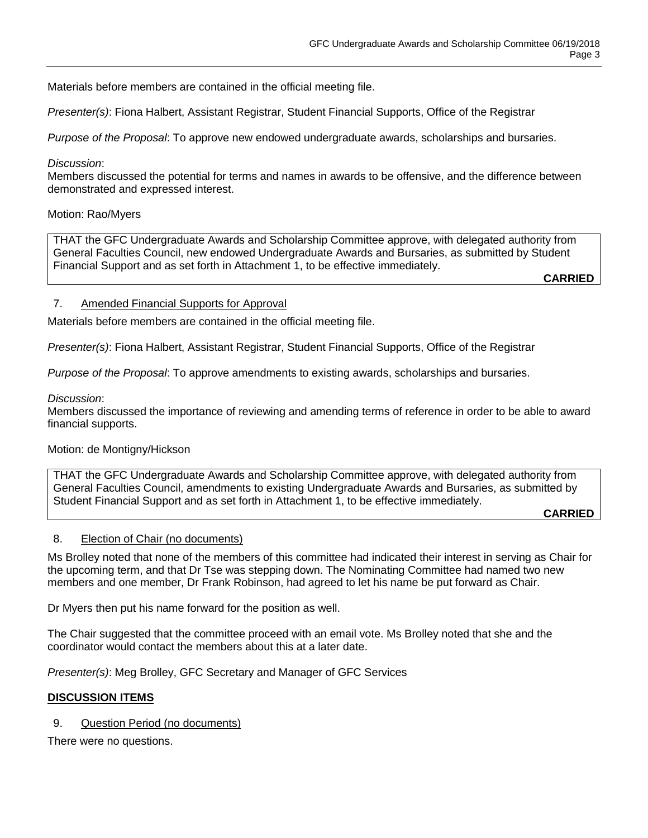Materials before members are contained in the official meeting file.

*Presenter(s)*: Fiona Halbert, Assistant Registrar, Student Financial Supports, Office of the Registrar

*Purpose of the Proposal*: To approve new endowed undergraduate awards, scholarships and bursaries.

#### *Discussion*:

Members discussed the potential for terms and names in awards to be offensive, and the difference between demonstrated and expressed interest.

#### Motion: Rao/Myers

THAT the GFC Undergraduate Awards and Scholarship Committee approve, with delegated authority from General Faculties Council, new endowed Undergraduate Awards and Bursaries, as submitted by Student Financial Support and as set forth in Attachment 1, to be effective immediately.

**CARRIED**

## 7. Amended Financial Supports for Approval

Materials before members are contained in the official meeting file.

*Presenter(s)*: Fiona Halbert, Assistant Registrar, Student Financial Supports, Office of the Registrar

*Purpose of the Proposal*: To approve amendments to existing awards, scholarships and bursaries.

#### *Discussion*:

Members discussed the importance of reviewing and amending terms of reference in order to be able to award financial supports.

## Motion: de Montigny/Hickson

THAT the GFC Undergraduate Awards and Scholarship Committee approve, with delegated authority from General Faculties Council, amendments to existing Undergraduate Awards and Bursaries, as submitted by Student Financial Support and as set forth in Attachment 1, to be effective immediately.

**CARRIED**

## 8. Election of Chair (no documents)

Ms Brolley noted that none of the members of this committee had indicated their interest in serving as Chair for the upcoming term, and that Dr Tse was stepping down. The Nominating Committee had named two new members and one member, Dr Frank Robinson, had agreed to let his name be put forward as Chair.

Dr Myers then put his name forward for the position as well.

The Chair suggested that the committee proceed with an email vote. Ms Brolley noted that she and the coordinator would contact the members about this at a later date.

*Presenter(s)*: Meg Brolley, GFC Secretary and Manager of GFC Services

## **DISCUSSION ITEMS**

9. Question Period (no documents)

There were no questions.